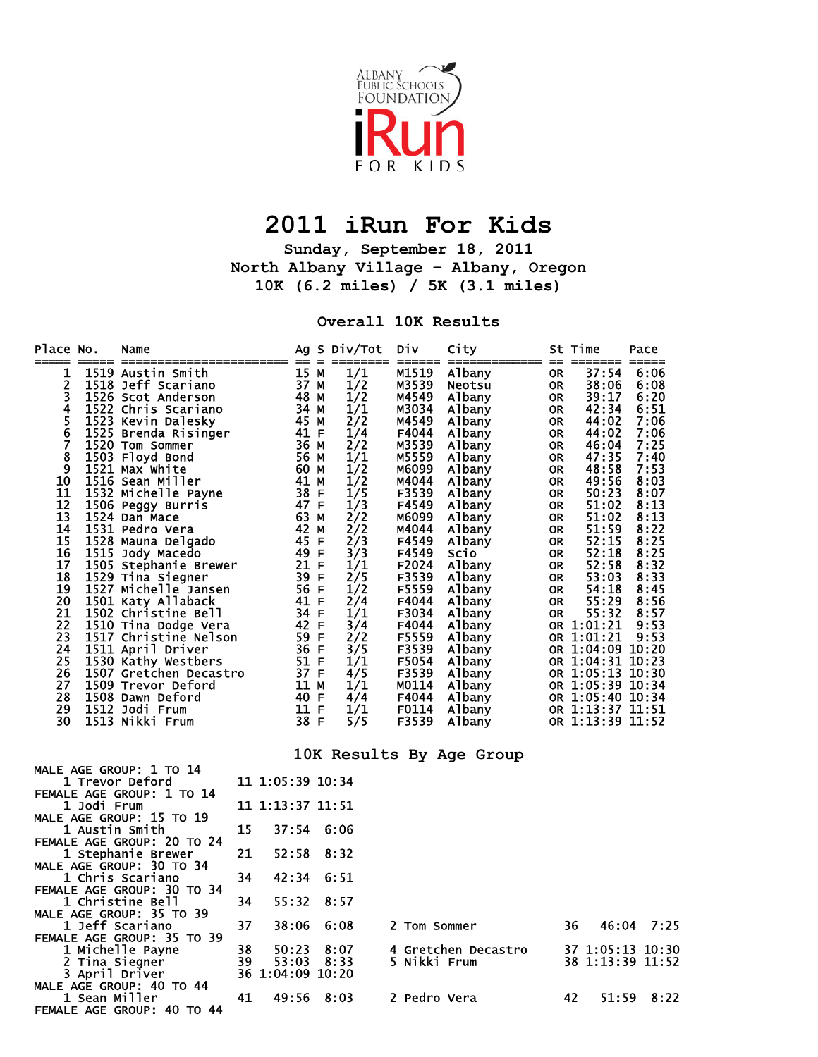

## **2011 iRun For Kids**

**Sunday, September 18, 2011 North Albany Village – Albany, Oregon 10K (6.2 miles) / 5K (3.1 miles)** 

**Overall 10K Results** 

| Place No.                                                                                                                                                                                                         |               | Name                                                                                                                                                                                                                                                                  |          |                  | Ag S Div/Tot                                                                                                                                                                                                   | <b>Div</b>                                                                                                                                                                                                                                                                 | City                                                                                                                                                                                                                                                                                                                                                                                                                                                                                                          |                                                                                                                                                                                                                            | St Time                                                                                                                                                                                                                                   | Pace                                                                                                                                                                                 |
|-------------------------------------------------------------------------------------------------------------------------------------------------------------------------------------------------------------------|---------------|-----------------------------------------------------------------------------------------------------------------------------------------------------------------------------------------------------------------------------------------------------------------------|----------|------------------|----------------------------------------------------------------------------------------------------------------------------------------------------------------------------------------------------------------|----------------------------------------------------------------------------------------------------------------------------------------------------------------------------------------------------------------------------------------------------------------------------|---------------------------------------------------------------------------------------------------------------------------------------------------------------------------------------------------------------------------------------------------------------------------------------------------------------------------------------------------------------------------------------------------------------------------------------------------------------------------------------------------------------|----------------------------------------------------------------------------------------------------------------------------------------------------------------------------------------------------------------------------|-------------------------------------------------------------------------------------------------------------------------------------------------------------------------------------------------------------------------------------------|--------------------------------------------------------------------------------------------------------------------------------------------------------------------------------------|
| 1<br>$\overline{\mathbf{c}}$<br>3<br>4<br>$\frac{5}{6}$<br>$\overline{7}$<br>8<br>9<br>10<br>11<br>12<br>13<br>14<br>15<br>16<br>17<br>18<br>19<br>20<br>21<br>22<br>23<br>24<br>25<br>26<br>27<br>28<br>29<br>30 |               | No. Name<br>ISSN 2003<br>ISSN 2003<br>ISSN 2004<br>ISSN 2004<br>ISSN 2004<br>ISSN 2004<br>ISSN 2007<br>ISSN 2007<br>ISSN 2007<br>ISSN 2007<br>ISSN 2007<br>ISSN 2007<br>ISSN 2007<br>ISSN 2007<br>ISSN 2007<br>ISSN 2007<br>ISSN 2007<br>ISSN 2007<br>ISSN 2007<br>IS |          |                  | 1/1<br>1/2<br>1/2<br>1/1<br>2/2<br>1/4<br>2/2<br>1/1<br>1/2<br>1/2<br>1/5<br>1/3<br>2/2<br>2/2<br>2/3<br>3/3<br>1/1<br>2/5<br>1/2<br>2/4<br>1/1<br>3/4<br>2/2<br>3/5<br>1/1<br>4/5<br>1/1<br>4/4<br>1/1<br>5/5 | M1519<br>M3539<br>M4549<br>M3034<br>M4549<br>F4044<br>M3539<br>M5559<br>M6099<br>M4044<br>F3539<br>F4549<br>M6099<br>M4044<br>F4549<br>F4549<br>F2024<br>F3539<br>F5559<br>F4044<br>F3034<br>F4044<br>F5559<br>F3539<br>F5054<br>F3539<br>M0114<br>F4044<br>F0114<br>F3539 | <b>Albany<br/>Neotsu<br/>Albany</b><br>Albany<br>Albany<br>Albany<br>Albany<br>Albany<br>Albany<br>Albany<br>Albany<br>Albany<br>Albany<br>Albany<br>Albany<br>Scio<br>Albany<br>Albany<br>Albany<br>Albany<br>Albany<br>Albany<br>Albany<br>Albany<br>Albany<br>OR 1:04:31 10:20<br>Albany<br>OR 1:04:31 10:23<br>Albany<br>OR 1:05:13 10:30<br>Albany<br>OR 1:05:39 10:34<br>Albany<br>OR 1:05:39 10:34<br>Albany<br>OR 1:05:39 10:34<br>Albany<br>OR 1:05:40 10:34<br>Albany<br>OR 1:13:37 11:51<br>Albany | <b>OR</b><br><b>OR</b><br>OR.<br><b>OR</b><br><b>OR</b><br>OR<br>OR<br><b>OR</b><br><b>OR</b><br><b>OR</b><br>OR.<br>OR.<br><b>OR</b><br><b>OR</b><br>OR.<br>OR.<br><b>OR</b><br><b>OR</b><br>OR<br><b>OR</b><br>OR.<br>OR | 37:54<br>38:06<br>39:17<br>42:34<br>44:02<br>44:02<br>46:04<br>47:35<br>48:58<br>49:56<br>50:23<br>51:02<br>51:02<br>51:59<br>52:15<br>52:18<br>52:58<br>53:03<br>54:18<br>55:29<br>55:32<br>OR 1:01:21<br>OR 1:01:21<br>OR 1:04:09 10:20 | 6:06<br>6:08<br>6:20<br>6:51<br>7:06<br>7:06<br>7:25<br>7:40<br>7:53<br>8:03<br>8:07<br>8:13<br>8:13<br>8:22<br>8:25<br>8:25<br>8:32<br>8:33<br>8:45<br>8:56<br>8:57<br>9:53<br>9:53 |
|                                                                                                                                                                                                                   |               |                                                                                                                                                                                                                                                                       |          |                  |                                                                                                                                                                                                                |                                                                                                                                                                                                                                                                            | 10K Results By Age Group                                                                                                                                                                                                                                                                                                                                                                                                                                                                                      |                                                                                                                                                                                                                            |                                                                                                                                                                                                                                           |                                                                                                                                                                                      |
|                                                                                                                                                                                                                   |               | MALE AGE GROUP: 1 TO 14<br><b>1 Trevor Deford</b>                                                                                                                                                                                                                     |          | 11 1:05:39 10:34 |                                                                                                                                                                                                                |                                                                                                                                                                                                                                                                            |                                                                                                                                                                                                                                                                                                                                                                                                                                                                                                               |                                                                                                                                                                                                                            |                                                                                                                                                                                                                                           |                                                                                                                                                                                      |
|                                                                                                                                                                                                                   | 1 Jodi Frum   | FEMALE AGE GROUP: 1 TO 14                                                                                                                                                                                                                                             |          | 11 1:13:37 11:51 |                                                                                                                                                                                                                |                                                                                                                                                                                                                                                                            |                                                                                                                                                                                                                                                                                                                                                                                                                                                                                                               |                                                                                                                                                                                                                            |                                                                                                                                                                                                                                           |                                                                                                                                                                                      |
|                                                                                                                                                                                                                   |               | MALE AGE GROUP: 15 TO 19<br>1 Austin Smith                                                                                                                                                                                                                            | 15       | 37:54            | 6:06                                                                                                                                                                                                           |                                                                                                                                                                                                                                                                            |                                                                                                                                                                                                                                                                                                                                                                                                                                                                                                               |                                                                                                                                                                                                                            |                                                                                                                                                                                                                                           |                                                                                                                                                                                      |
|                                                                                                                                                                                                                   |               | FEMALE AGE GROUP: 20 TO 24<br>1 Stephanie Brewer                                                                                                                                                                                                                      | 21       | 52:58            | 8:32                                                                                                                                                                                                           |                                                                                                                                                                                                                                                                            |                                                                                                                                                                                                                                                                                                                                                                                                                                                                                                               |                                                                                                                                                                                                                            |                                                                                                                                                                                                                                           |                                                                                                                                                                                      |
|                                                                                                                                                                                                                   |               | MALE AGE GROUP: 30 TO 34<br>1 Chris Scariano                                                                                                                                                                                                                          | 34       | 42:34            | 6:51                                                                                                                                                                                                           |                                                                                                                                                                                                                                                                            |                                                                                                                                                                                                                                                                                                                                                                                                                                                                                                               |                                                                                                                                                                                                                            |                                                                                                                                                                                                                                           |                                                                                                                                                                                      |
|                                                                                                                                                                                                                   |               | FEMALE AGE GROUP: 30 TO 34<br><b>1 Christine Bell</b>                                                                                                                                                                                                                 | 34       | 55:32            | 8:57                                                                                                                                                                                                           |                                                                                                                                                                                                                                                                            |                                                                                                                                                                                                                                                                                                                                                                                                                                                                                                               |                                                                                                                                                                                                                            |                                                                                                                                                                                                                                           |                                                                                                                                                                                      |
|                                                                                                                                                                                                                   |               | MALE AGE GROUP: 35 TO 39<br>1 Jeff Scariano                                                                                                                                                                                                                           | 37       | 38:06            | 6:08                                                                                                                                                                                                           | 2 Tom Sommer                                                                                                                                                                                                                                                               |                                                                                                                                                                                                                                                                                                                                                                                                                                                                                                               |                                                                                                                                                                                                                            | 36                                                                                                                                                                                                                                        | 46:04 7:25                                                                                                                                                                           |
|                                                                                                                                                                                                                   |               | FEMALE AGE GROUP: 35 TO 39                                                                                                                                                                                                                                            |          |                  |                                                                                                                                                                                                                |                                                                                                                                                                                                                                                                            |                                                                                                                                                                                                                                                                                                                                                                                                                                                                                                               |                                                                                                                                                                                                                            |                                                                                                                                                                                                                                           |                                                                                                                                                                                      |
|                                                                                                                                                                                                                   |               | 1 Michelle Payne<br>2 Tina Siegner                                                                                                                                                                                                                                    | 38<br>39 | 50:23<br>53:03   | 8:07<br>8:33                                                                                                                                                                                                   | 5 Nikki Frum                                                                                                                                                                                                                                                               | 4 Gretchen Decastro 37 1:05:13 10:30                                                                                                                                                                                                                                                                                                                                                                                                                                                                          |                                                                                                                                                                                                                            |                                                                                                                                                                                                                                           | 38 1:13:39 11:52                                                                                                                                                                     |
|                                                                                                                                                                                                                   |               | 3 April Driver<br>MALE AGE GROUP: 40 TO 44                                                                                                                                                                                                                            |          | 36 1:04:09 10:20 |                                                                                                                                                                                                                |                                                                                                                                                                                                                                                                            |                                                                                                                                                                                                                                                                                                                                                                                                                                                                                                               |                                                                                                                                                                                                                            |                                                                                                                                                                                                                                           |                                                                                                                                                                                      |
|                                                                                                                                                                                                                   | 1 Sean Miller | FEMALE AGE GROUP: 40 TO 44                                                                                                                                                                                                                                            | 41       | 49:56            | 8:03                                                                                                                                                                                                           | 2 Pedro Vera                                                                                                                                                                                                                                                               |                                                                                                                                                                                                                                                                                                                                                                                                                                                                                                               |                                                                                                                                                                                                                            | 42<br>51:59                                                                                                                                                                                                                               | 8:22                                                                                                                                                                                 |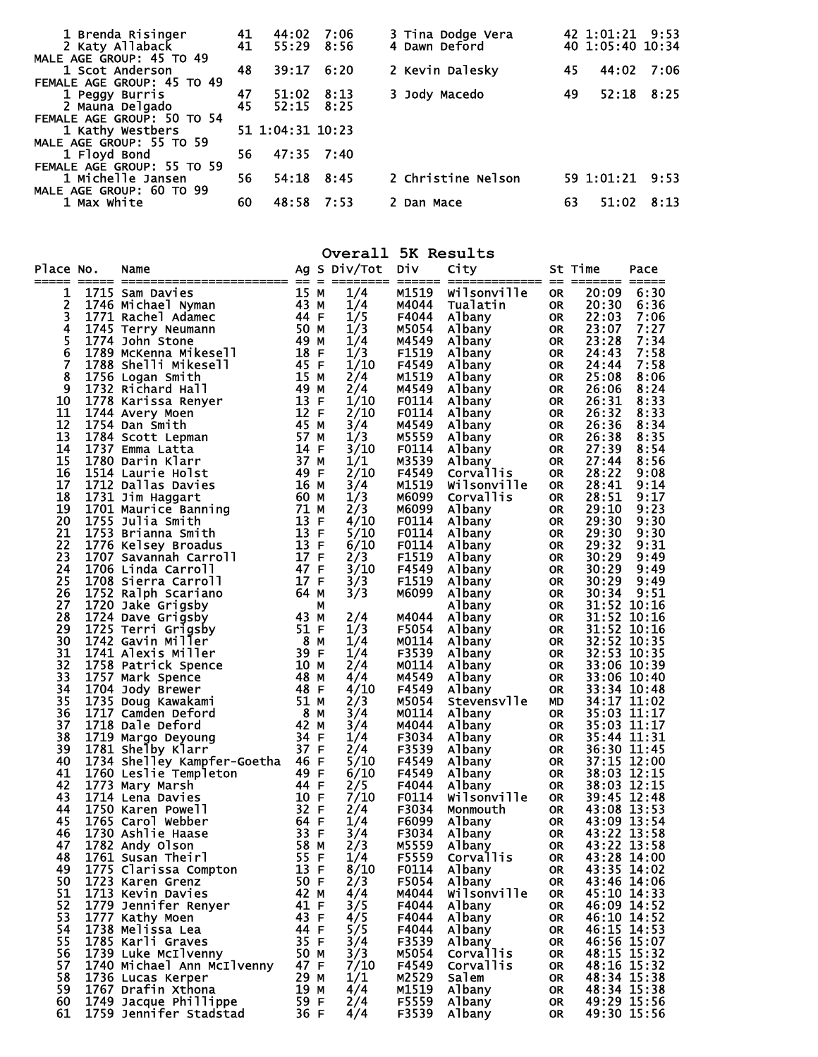| 1 Brenda Risinger<br>2 Katy Allaback | 41<br>41 | 44:02<br>55:29   | 7:06<br>8:56 | 3 Tina Dodge Vera<br>42 1:01:21 9:53<br>4 Dawn Deford<br>40 1:05:40 10:34 |  |
|--------------------------------------|----------|------------------|--------------|---------------------------------------------------------------------------|--|
| MALE AGE GROUP: 45 TO 49             |          |                  |              |                                                                           |  |
| 1 Scot Anderson                      | 48       | 39:17            | 6:20         | 2 Kevin Dalesky<br>45<br>44:02 7:06                                       |  |
| FEMALE AGE GROUP: 45 TO 49           |          |                  |              |                                                                           |  |
| 1 Peggy Burris                       | 47       | 51:02            | 8:13         | 52:18<br>8:25<br>3 Jody Macedo<br>49                                      |  |
| 2 Mauna Delgado                      | 45       | 52:15            | 8:25         |                                                                           |  |
| FEMALE AGE GROUP: 50 TO 54           |          |                  |              |                                                                           |  |
| 1 Kathy Westbers                     |          | 51 1:04:31 10:23 |              |                                                                           |  |
| MALE AGE GROUP: 55 TO 59             |          |                  |              |                                                                           |  |
| 1 Floyd Bond                         | 56       |                  | 47:35 7:40   |                                                                           |  |
| FEMALE AGE GROUP: 55 TO 59           |          |                  |              |                                                                           |  |
| 1 Michelle Jansen                    | 56       | 54:18            | 8:45         | 2 Christine Nelson<br>59 1:01:21 9:53                                     |  |
| MALE AGE GROUP: 60 TO 99             |          |                  |              |                                                                           |  |
| 1 Max White                          | 60       | 48:58            | 7:53         | 63<br>51:02<br>8:13<br>2 Dan Mace                                         |  |
|                                      |          |                  |              |                                                                           |  |

**Overall 5K Results** 

| Place No.     |        | Name                                    |      |          | Ag S Div/Tot | Div   | City             |           | St Time     | Pace        |
|---------------|--------|-----------------------------------------|------|----------|--------------|-------|------------------|-----------|-------------|-------------|
|               | $====$ | =============================           |      | $\equiv$ |              |       | -----------      | $=$       |             |             |
| 1             |        | 1715 Sam Davies                         | 15 M |          | 1/4          | M1519 | Wilsonville      | <b>OR</b> | 20:09       | 6:30        |
| $\frac{2}{3}$ |        | 1746 Michael Nyman                      | 43 M |          | 1/4          | M4044 | Tualatin         | <b>OR</b> | 20:30       | 6:36        |
|               |        | 1771 Rachel Adamec                      | 44 F |          | 1/5          | F4044 | Albany           | <b>OR</b> | 22:03       | 7:06        |
| 4             |        | 1745 Terry Neumann                      | 50 M |          | 1/3          | M5054 | Albany           | <b>OR</b> | 23:07       | 7:27        |
| 5             |        | 1774 John Stone                         | 49 M |          | 1/4          | M4549 | Albany           | <b>OR</b> | 23:28       | 7:34        |
| 6             |        | 1789 McKenna Mikesell                   | 18   | -F       | 1/3          | F1519 | Albany           | <b>OR</b> | 24:43       | 7:58        |
| 7             |        | 1788 Shelli Mikesell                    | 45 F |          | 1/10         | F4549 | Albany           | <b>OR</b> | 24:44       | 7:58        |
| 8             |        | 1756 Logan Smith                        | 15   | м        | 2/4          | M1519 | Albany           | <b>OR</b> | 25:08       | 8:06        |
| 9             |        | 1732 Richard Hall                       | 49   | М        | 2/4          | M4549 | <b>Albany</b>    | <b>OR</b> | 26:06       | 8:24        |
| 10            |        | 1778 Karissa Renyer                     | 13   | F        | 1/10         | F0114 | Albany           | <b>OR</b> | 26:31       | 8:33        |
| 11            |        | 1744 Avery Moen                         | 12   | F        | 2/10         | F0114 | Albany           | <b>OR</b> | 26:32       | 8:33        |
| 12            |        | 1754 Dan Smith                          | 45   | М        | 3/4          | M4549 | Albany           | <b>OR</b> | 26:36       | 8:34        |
| 13            |        | 1784 Scott Lepman                       | 57   | М        | 1/3          | M5559 | <b>Albany</b>    | <b>OR</b> | 26:38       | 8:35        |
| 14            |        | 1737 Emma Latta                         | 14   | F        | 3/10         | F0114 | Albany           | <b>OR</b> | 27:39       | 8:54        |
| 15            |        | 1780 Darin Klarr                        | 37 M |          | 1/1          | M3539 | Albany           | <b>OR</b> | 27:44       | 8:56        |
| 16            |        | 1514 Laurie Holst                       | 49   | F        | 2/10         | F4549 | Corvallis        | <b>OR</b> | 28:22       | 9:08        |
| 17            |        | 1712 Dallas Davies                      | 16 M |          | 3/4          | M1519 | Wilsonville      | <b>OR</b> | 28:41       | 9:14        |
| 18            |        | 1731 Jim Haggart                        | 60 M |          | 1/3          | M6099 | Corvallis        | <b>OR</b> | 28:51       | 9:17        |
| 19            |        | 1701 Maurice Banning                    | 71   | M        | 2/3          | M6099 | Albany           | <b>OR</b> | 29:10       | 9:23        |
| 20            |        | 1755 Julia Smith                        | 13   | F        | 4/10         | F0114 | Albany           | <b>OR</b> | 29:30       | 9:30        |
| 21            |        | 1753 Brianna Smith                      | 13   | F        | 5/10         | F0114 | Albany           | <b>OR</b> | 29:30       | 9:30        |
| 22            |        | 1776 Kelsey Broadus                     | 13   | F        | 6/10         | F0114 | Albany           | <b>OR</b> | 29:32       | 9:31        |
| 23            |        | 1707 Savannah Carroll                   | 17 F |          | 2/3          | F1519 | Albany           | <b>OR</b> | 30:29       | 9:49        |
| 24            |        | 1706 Linda Carroll                      | 47   | F        | 3/10         | F4549 | Albany           | <b>OR</b> | 30:29       | 9:49        |
| 25            |        | 1708 Sierra Carroll                     | 17 F |          | 3/3          | F1519 | Albany           | <b>OR</b> | 30:29       | 9:49        |
| 26            |        | 1752 Ralph Scariano                     | 64   | м        | 3/3          | M6099 | <b>Albany</b>    | <b>OR</b> | 30:34       | 9:51        |
| 27            |        | 1720 Jake Grigsby                       |      | м        |              |       | <b>Albany</b>    | <b>OR</b> | 31:52 10:16 |             |
| 28            |        | 1724 Dave Grigsby                       | 43   | M        | 2/4          | M4044 | Albany           | <b>OR</b> | 31:52       | 10:16       |
| 29            |        | 1725 Terri Grigsby                      | 51   | -F       | 1/3          | F5054 | Albany           | <b>OR</b> |             | 31:52 10:16 |
| 30            |        | 1742 Gavin Miller                       | - 8  | М        | 1/4          | M0114 | Albany           | <b>OR</b> | 32:52 10:35 |             |
| 31            |        | 1741 Alexis Miller                      | 39   | F        | 1/4          | F3539 | Albany           | <b>OR</b> | 32:53 10:35 |             |
| 32            |        | 1758 Patrick Spence                     | 10   | м        | 2/4          | M0114 | Albany           | <b>OR</b> | 33:06 10:39 |             |
| 33            |        | 1757 Mark Spence                        | 48   | м        | 4/4          | M4549 | <b>Albany</b>    | <b>OR</b> | 33:06 10:40 |             |
| 34            |        | 1704 Jody Brewer                        | 48   | F        | 4/10         | F4549 | Albany           | <b>OR</b> | 33:34 10:48 |             |
| 35            |        | 1735 Doug Kawakami                      | 51   | м        | 2/3          | M5054 | Stevensvlle      | <b>MD</b> | 34:17 11:02 |             |
| 36            |        | 1717 Camden Deford                      | 8    | М        | 3/4          | M0114 | Albany           | <b>OR</b> | 35:03 11:17 |             |
| 37            |        | 1718 Dale Deford                        | 42   | M        | 3/4          | M4044 | Albany           | <b>OR</b> | 35:03 11:17 |             |
| 38            |        | 1719 Margo Deyoung<br>1781 Shelby Klarr | 34 F |          | 1/4          | F3034 | Albany           | <b>OR</b> | 35:44 11:31 |             |
| 39            |        |                                         | 37 F |          | 2/4          | F3539 | <b>Albany</b>    | <b>OR</b> | 36:30 11:45 |             |
| 40            |        | 1734 Shelley Kampfer-Goetha 46          |      | - F      | 5/10         | F4549 | Albany           | <b>OR</b> | 37:15 12:00 |             |
| 41            |        | 1760 Leslie Templeton                   | 49 F |          | 6/10         | F4549 | <b>Albany</b>    | <b>OR</b> | 38:03 12:15 |             |
| 42            |        | 1773 Mary Marsh                         | 44 F |          | 2/5          | F4044 | Albany           | <b>OR</b> | 38:03 12:15 |             |
| 43            |        | 1714 Lena Davies                        | 10 F |          | 7/10         | F0114 | Wilsonville      | <b>OR</b> | 39:45 12:48 |             |
| 44            |        | 1750 Karen Powell                       | 32   | - F      | 2/4          | F3034 | Monmouth         | <b>OR</b> | 43:08 13:53 |             |
| 45            |        | 1765 Carol Webber                       | 64   | F        | 1/4          | F6099 | Albany           | <b>OR</b> | 43:09 13:54 |             |
| 46            |        | 1730 Ashlie Haase                       | 33   | - F      | 3/4          | F3034 | Albany           | <b>OR</b> | 43:22 13:58 |             |
| 47            |        | 1782 Andy Olson                         | 58   | м        | 2/3          | M5559 | Albany           | <b>OR</b> | 43:22 13:58 |             |
| 48            |        | 1761 Susan Theirl                       | 55   | -F       | 1/4          | F5559 | <b>Corvallis</b> | <b>OR</b> | 43:28 14:00 |             |
| 49            |        | 1775 Clarissa Compton                   | 13 F |          | 8/10         | F0114 | Albany           | <b>OR</b> | 43:35 14:02 |             |
| 50            |        | 1723 Karen Grenz                        | 50 F |          | 2/3          | F5054 | Albany           | <b>OR</b> | 43:46 14:06 |             |
| 51            |        | 1713 Kevin Davies                       | 42 M |          | 4/4          | M4044 | Wilsonville      | <b>OR</b> | 45:10 14:33 |             |
| 52            |        | 1779 Jennifer Renyer                    | 41   | -F       | 3/5          | F4044 | <b>Albany</b>    | <b>OR</b> | 46:09 14:52 |             |
| 53            |        | 1777 Kathy Moen                         | 43 F |          | 4/5          | F4044 | Albany           | <b>OR</b> | 46:10 14:52 |             |
| 54            |        | 1738 Melissa Lea                        | 44 F |          | 5/5          | F4044 | Albany           | <b>OR</b> | 46:15 14:53 |             |
| 55            |        | 1785 Karli Graves                       | 35 F |          | 3/4          | F3539 | Albany           | <b>OR</b> | 46:56 15:07 |             |
| 56            |        | 1739 Luke McIlvenny                     | 50   | M        | 3/3          | M5054 | <b>Corvallis</b> | <b>OR</b> | 48:15 15:32 |             |
| 57            |        | 1740 Michael Ann McIlvenny              | 47 F |          | 7/10         | F4549 | Corvallis        | <b>OR</b> | 48:16 15:32 |             |
| 58            |        | 1736 Lucas Kerper                       | 29   | м        | 1/1          | M2529 | Salem            | <b>OR</b> | 48:34 15:38 |             |
| 59            |        | 1767 Drafin Xthona                      | 19   | м        | 4/4          | M1519 | Albany           | <b>OR</b> | 48:34 15:38 |             |
| 60            |        | 1749 Jacque Phillippe                   | 59 F |          | 2/4          | F5559 | Albany           | OR        | 49:29 15:56 |             |
| 61            |        | 1759 Jennifer Stadstad                  | 36 F |          | 4/4          | F3539 | Albany           | <b>OR</b> |             | 49:30 15:56 |